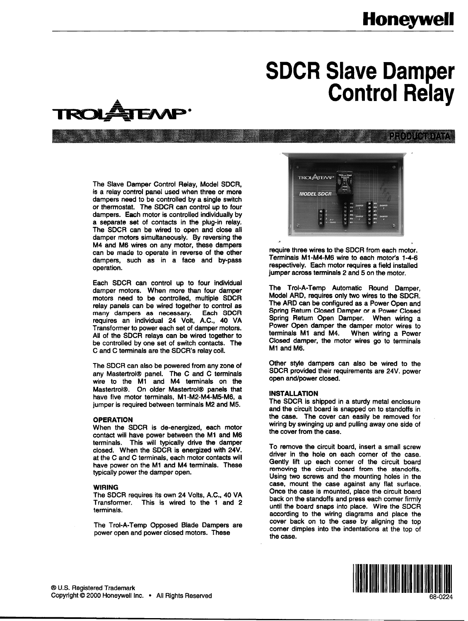# **Honeywell**

HODH SEV

# **SDCR Slave Damper Control Relay**



The Slave Damper Control Relay, Model SDCR, is a relay control panel used when three or more dampers need to be controlled by a single switch or thermostat. The SDCR can control up to four dampers. Each motor is controlled individually by a separate set of contacts in the plug-in relay-The SDCR can be wired to open and close all damper motors simultaneously. By reversing the M4 and M6 wires on any motor, these dampers can be made to operate in reverse of the other dampers, such as in a face and by-pass operation.

Each SDCR can control up to four individual damper motors. When more than four damper motors need to be controlled, multiple SDCR relay panels can be wired together to control as many dampers as necessary. Each SDCR requires an individual 24 Volt, A.C., 40 VA Transformer to power each set of damper motors. All of the SDCR relays can be wired together to be controlled by one set of switch contacts. The C and C terminals are the SDCR's relay coil.

The SDCR can also be powered from any zone of any Mastertrol® panel. The C and C terminals wire to the Ml and M4 terminals on the Mastertrol®. On older Mastertrol® panels that have five motor terminals, M1-M2-M4-M5-M6, a jumper is required between terminals M2 and M5.

#### OPERATION

When the SDCR is de-energized, each motor contact will have power between the M1 and M6 terminals. This will typically drive the damper closed. When the SDCR is energized with 24V. at the C and C terminals, each motor contacts will have power on the M1 and M4 terminals. These typically power the damper open.

#### WIRING

The SDCR requires its own 24 Volts, A.C., 40 VA Transformer. This is wired to the 1 and 2 terminals.

The Trol-A-Temp Opposed Blade Dampers are power open and power closed motors. These



require three wires to the SDCR from each motor. Terminals Ml-M4-M6 wire to each motor's 1-4-6 respectively. Each motor requires a field installed jumper across terminals 2 and 5 on the motor.

The Trol-A-Temp Automatic Round Damper, Model ARD, requires only two wires to the SDCR. The ARD can be configured as a Power Open and Spring Return Closed Damper or a Power Closed Spring Return Open Damper. When wiring a Power Open damper the damper motor wires to terminals M1 and M4. When wiring a Power Closed damper, the motor wires go to terminals Ml and M6.

Other style dampers can also be wired to the SDCR provided their requirements are 24V. power open and/power closed.

#### INSTALLATION

The SDCR is shipped in a sturdy metal enclosure and the circuit board is snapped on to standoffs in the case. The cover can easily be removed for wiring by swinging up and pulling away one side of the cover from the case.

To remove the circuit board, insert a small screw driver in the hole on each corner of the case. Gently lift up each corner of the circuit board removing the circuit board from the standoffs. Using two screws and the mounting holes in the case, mount the case against any flat surface. Once the case is mounted, place the circuit board back on the standoffs and press each corner firmly until the board snaps into place. Wire the SDCR according to the wiring diagrams and place the cover back on to the case by aligning the top corner dimples into the indentations at the top of the case.